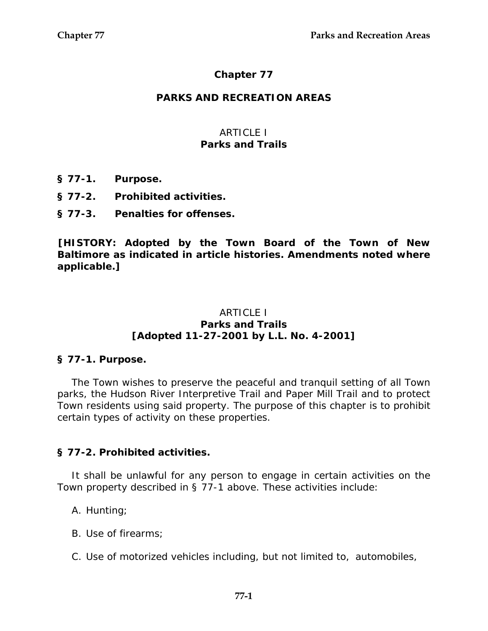# **Chapter 77**

### **PARKS AND RECREATION AREAS**

### ARTICLE I **Parks and Trails**

- **§ 77-1. Purpose.**
- **§ 77-2. Prohibited activities.**
- **§ 77-3. Penalties for offenses.**

**[HISTORY: Adopted by the Town Board of the Town of New Baltimore as indicated in article histories. Amendments noted where applicable.]** 

#### ARTICLE I **Parks and Trails [Adopted 11-27-2001 by L.L. No. 4-2001]**

### **§ 77-1. Purpose.**

The Town wishes to preserve the peaceful and tranquil setting of all Town parks, the Hudson River Interpretive Trail and Paper Mill Trail and to protect Town residents using said property. The purpose of this chapter is to prohibit certain types of activity on these properties.

# **§ 77-2. Prohibited activities.**

It shall be unlawful for any person to engage in certain activities on the Town property described in § 77-1 above. These activities include:

A. Hunting;

- B. Use of firearms;
- C. Use of motorized vehicles including, but not limited to, automobiles,